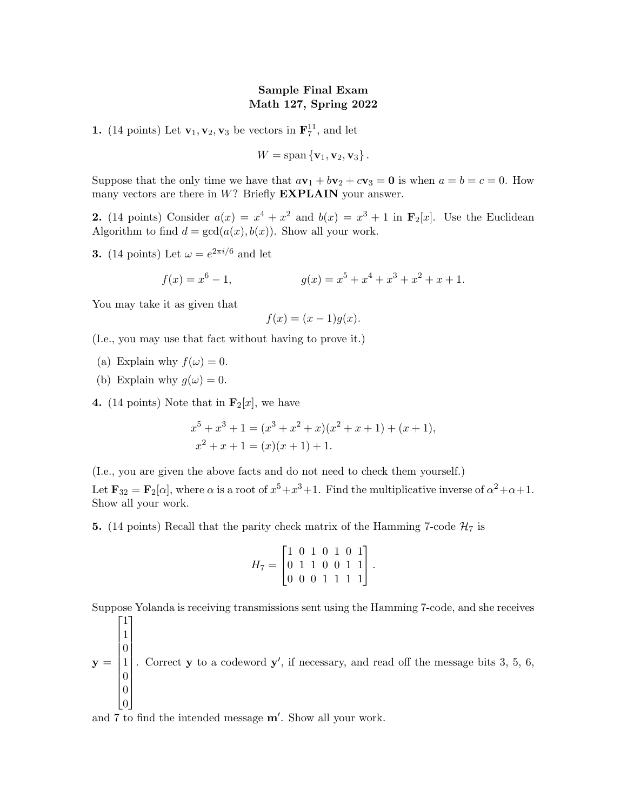## Sample Final Exam Math 127, Spring 2022

**1.** (14 points) Let  $\mathbf{v}_1, \mathbf{v}_2, \mathbf{v}_3$  be vectors in  $\mathbf{F}_7^{11}$ , and let

$$
W = \mathrm{span}\left\{ \mathbf{v}_1, \mathbf{v}_2, \mathbf{v}_3 \right\}.
$$

Suppose that the only time we have that  $a\mathbf{v}_1 + b\mathbf{v}_2 + c\mathbf{v}_3 = \mathbf{0}$  is when  $a = b = c = 0$ . How many vectors are there in  $W$ ? Briefly  **your answer.** 

**2.** (14 points) Consider  $a(x) = x^4 + x^2$  and  $b(x) = x^3 + 1$  in  $\mathbf{F}_2[x]$ . Use the Euclidean Algorithm to find  $d = \gcd(a(x), b(x))$ . Show all your work.

**3.** (14 points) Let  $\omega = e^{2\pi i/6}$  and let

$$
f(x) = x6 - 1, \t\t g(x) = x5 + x4 + x3 + x2 + x + 1.
$$

You may take it as given that

$$
f(x) = (x - 1)g(x).
$$

(I.e., you may use that fact without having to prove it.)

- (a) Explain why  $f(\omega) = 0$ .
- (b) Explain why  $g(\omega) = 0$ .

 $\sqrt{ }$ 

1

1

4. (14 points) Note that in  $\mathbf{F}_2[x]$ , we have

$$
x5 + x3 + 1 = (x3 + x2 + x)(x2 + x + 1) + (x + 1),
$$
  

$$
x2 + x + 1 = (x)(x + 1) + 1.
$$

(I.e., you are given the above facts and do not need to check them yourself.)

Let  $\mathbf{F}_{32} = \mathbf{F}_2[\alpha]$ , where  $\alpha$  is a root of  $x^5 + x^3 + 1$ . Find the multiplicative inverse of  $\alpha^2 + \alpha + 1$ . Show all your work.

5. (14 points) Recall that the parity check matrix of the Hamming 7-code  $\mathcal{H}_7$  is

$$
H_7 = \begin{bmatrix} 1 & 0 & 1 & 0 & 1 & 0 & 1 \\ 0 & 1 & 1 & 0 & 0 & 1 & 1 \\ 0 & 0 & 0 & 1 & 1 & 1 & 1 \end{bmatrix}.
$$

Suppose Yolanda is receiving transmissions sent using the Hamming 7-code, and she receives

 $y =$  1  $\overline{0}$ 1  $\overline{0}$  $\overline{0}$  $\overline{0}$  . Correct  $y$  to a codeword  $y'$ , if necessary, and read off the message bits 3, 5, 6,

and 7 to find the intended message m′ . Show all your work.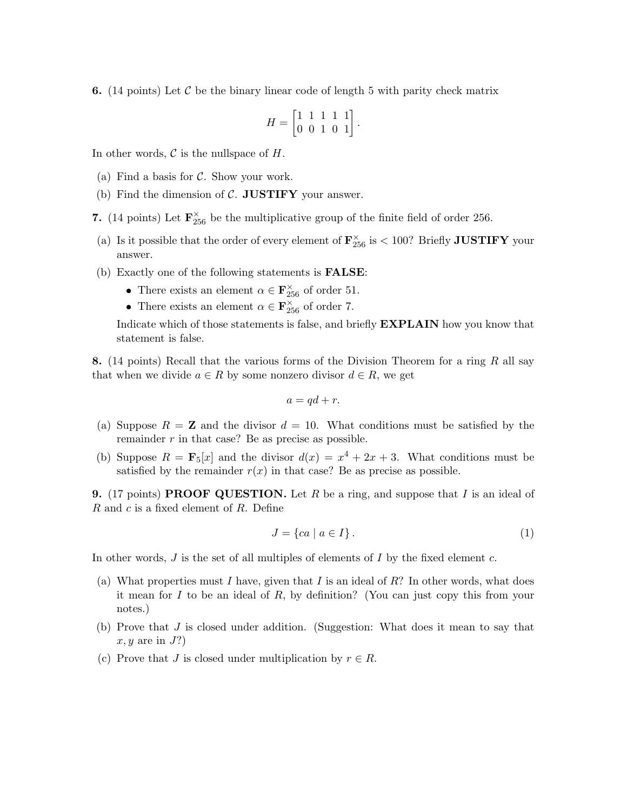**6.** (14 points) Let C be the binary linear code of length 5 with parity check matrix

$$
H = \begin{bmatrix} 1 & 1 & 1 & 1 & 1 \\ 0 & 0 & 1 & 0 & 1 \end{bmatrix}.
$$

In other words,  $\mathcal C$  is the nullspace of  $H$ .

- (a) Find a basis for  $\mathcal{C}$ . Show your work.
- (b) Find the dimension of  $C$ . **JUSTIFY** your answer.
- 7. (14 points) Let  $\mathbf{F}_{256}^{\times}$  be the multiplicative group of the finite field of order 256.
- (a) Is it possible that the order of every element of  $\mathbf{F}^\times_{256}$  is  $< 100$ ? Briefly **JUSTIFY** your answer.
- (b) Exactly one of the following statements is FALSE:
	- There exists an element  $\alpha \in \mathbf{F}_{256}^{\times}$  of order 51.
	- There exists an element  $\alpha \in \mathbf{F}_{256}^{\times}$  of order 7.

Indicate which of those statements is false, and briefly EXPLAIN how you know that statement is false.

8. (14 points) Recall that the various forms of the Division Theorem for a ring R all say that when we divide  $a \in R$  by some nonzero divisor  $d \in R$ , we get

$$
a = qd + r.
$$

- (a) Suppose  $R = \mathbf{Z}$  and the divisor  $d = 10$ . What conditions must be satisfied by the remainder  $r$  in that case? Be as precise as possible.
- (b) Suppose  $R = \mathbf{F}_5[x]$  and the divisor  $d(x) = x^4 + 2x + 3$ . What conditions must be satisfied by the remainder  $r(x)$  in that case? Be as precise as possible.

**9.** (17 points) **PROOF QUESTION.** Let R be a ring, and suppose that I is an ideal of  $R$  and  $c$  is a fixed element of  $R$ . Define

$$
J = \{ ca \mid a \in I \}.
$$
\n<sup>(1)</sup>

In other words,  $J$  is the set of all multiples of elements of  $I$  by the fixed element  $c$ .

- (a) What properties must I have, given that I is an ideal of  $R$ ? In other words, what does it mean for  $I$  to be an ideal of  $R$ , by definition? (You can just copy this from your notes.)
- (b) Prove that J is closed under addition. (Suggestion: What does it mean to say that  $x, y$  are in  $J$ ?)
- (c) Prove that J is closed under multiplication by  $r \in R$ .